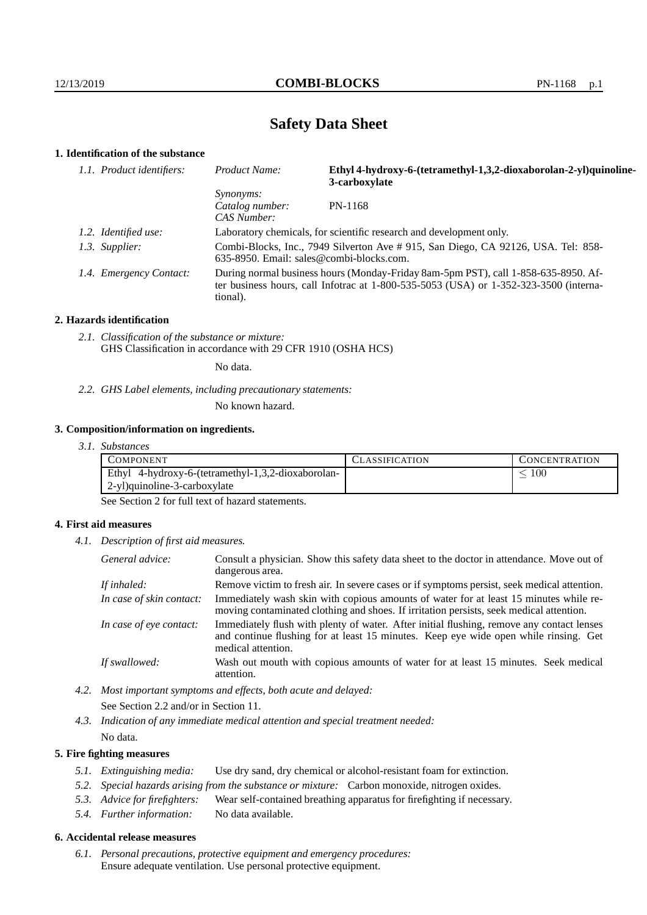# **Safety Data Sheet**

# **1. Identification of the substance**

| 1.1. Product identifiers: | Product Name:                                                                                                                                                                               | Ethyl 4-hydroxy-6-(tetramethyl-1,3,2-dioxaborolan-2-yl)quinoline-<br>3-carboxylate |
|---------------------------|---------------------------------------------------------------------------------------------------------------------------------------------------------------------------------------------|------------------------------------------------------------------------------------|
|                           | <i>Synonyms:</i><br>Catalog number:<br>CAS Number:                                                                                                                                          | PN-1168                                                                            |
| 1.2. Identified use:      | Laboratory chemicals, for scientific research and development only.                                                                                                                         |                                                                                    |
| 1.3. Supplier:            | Combi-Blocks, Inc., 7949 Silverton Ave # 915, San Diego, CA 92126, USA. Tel: 858-<br>$635-8950$ . Email: sales@combi-blocks.com.                                                            |                                                                                    |
| 1.4. Emergency Contact:   | During normal business hours (Monday-Friday 8am-5pm PST), call 1-858-635-8950. Af-<br>ter business hours, call Infotrac at $1-800-535-5053$ (USA) or $1-352-323-3500$ (interna-<br>tional). |                                                                                    |

#### **2. Hazards identification**

*2.1. Classification of the substance or mixture:* GHS Classification in accordance with 29 CFR 1910 (OSHA HCS)

No data.

*2.2. GHS Label elements, including precautionary statements:*

No known hazard.

## **3. Composition/information on ingredients.**

*3.1. Substances*

| COMPONENT                                          | '.`LASSIFICATION | <b>CONCENTRATION</b> |
|----------------------------------------------------|------------------|----------------------|
| Ethyl 4-hydroxy-6-(tetramethyl-1,3,2-dioxaborolan- |                  | 100                  |
| 2-yl)quinoline-3-carboxylate                       |                  |                      |

See Section 2 for full text of hazard statements.

## **4. First aid measures**

*4.1. Description of first aid measures.*

| General advice:          | Consult a physician. Show this safety data sheet to the doctor in attendance. Move out of<br>dangerous area.                                                                                            |
|--------------------------|---------------------------------------------------------------------------------------------------------------------------------------------------------------------------------------------------------|
| If inhaled:              | Remove victim to fresh air. In severe cases or if symptoms persist, seek medical attention.                                                                                                             |
| In case of skin contact: | Immediately wash skin with copious amounts of water for at least 15 minutes while re-<br>moving contaminated clothing and shoes. If irritation persists, seek medical attention.                        |
| In case of eye contact:  | Immediately flush with plenty of water. After initial flushing, remove any contact lenses<br>and continue flushing for at least 15 minutes. Keep eye wide open while rinsing. Get<br>medical attention. |
| If swallowed:            | Wash out mouth with copious amounts of water for at least 15 minutes. Seek medical<br>attention.                                                                                                        |

*4.2. Most important symptoms and effects, both acute and delayed:* See Section 2.2 and/or in Section 11.

*4.3. Indication of any immediate medical attention and special treatment needed:* No data.

## **5. Fire fighting measures**

- *5.1. Extinguishing media:* Use dry sand, dry chemical or alcohol-resistant foam for extinction.
- *5.2. Special hazards arising from the substance or mixture:* Carbon monoxide, nitrogen oxides.
- *5.3. Advice for firefighters:* Wear self-contained breathing apparatus for firefighting if necessary.
- *5.4. Further information:* No data available.

# **6. Accidental release measures**

*6.1. Personal precautions, protective equipment and emergency procedures:* Ensure adequate ventilation. Use personal protective equipment.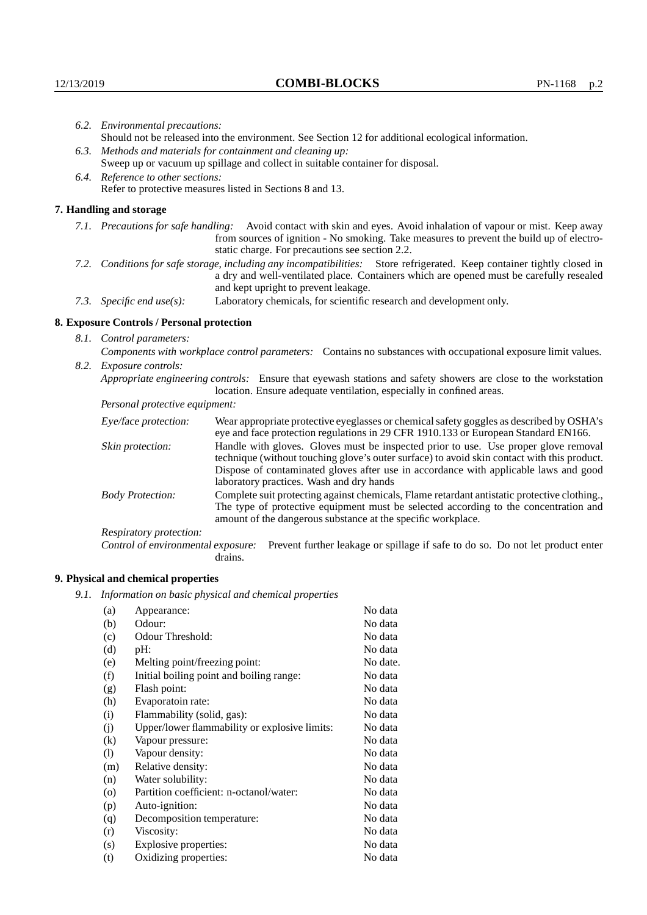|                                   | 6.2. Environmental precautions:                                                                                                                                                                                                                                    |                                                                                                                                                                                                                                                                                                                 |  |  |
|-----------------------------------|--------------------------------------------------------------------------------------------------------------------------------------------------------------------------------------------------------------------------------------------------------------------|-----------------------------------------------------------------------------------------------------------------------------------------------------------------------------------------------------------------------------------------------------------------------------------------------------------------|--|--|
|                                   |                                                                                                                                                                                                                                                                    | Should not be released into the environment. See Section 12 for additional ecological information.                                                                                                                                                                                                              |  |  |
|                                   | 6.3. Methods and materials for containment and cleaning up:                                                                                                                                                                                                        |                                                                                                                                                                                                                                                                                                                 |  |  |
|                                   | Sweep up or vacuum up spillage and collect in suitable container for disposal.                                                                                                                                                                                     |                                                                                                                                                                                                                                                                                                                 |  |  |
| 6.4. Reference to other sections: |                                                                                                                                                                                                                                                                    |                                                                                                                                                                                                                                                                                                                 |  |  |
|                                   | Refer to protective measures listed in Sections 8 and 13.                                                                                                                                                                                                          |                                                                                                                                                                                                                                                                                                                 |  |  |
|                                   | 7. Handling and storage                                                                                                                                                                                                                                            |                                                                                                                                                                                                                                                                                                                 |  |  |
|                                   | 7.1. Precautions for safe handling: Avoid contact with skin and eyes. Avoid inhalation of vapour or mist. Keep away<br>from sources of ignition - No smoking. Take measures to prevent the build up of electro-<br>static charge. For precautions see section 2.2. |                                                                                                                                                                                                                                                                                                                 |  |  |
|                                   | 7.2. Conditions for safe storage, including any incompatibilities: Store refrigerated. Keep container tightly closed in<br>a dry and well-ventilated place. Containers which are opened must be carefully resealed<br>and kept upright to prevent leakage.         |                                                                                                                                                                                                                                                                                                                 |  |  |
|                                   | Laboratory chemicals, for scientific research and development only.<br>7.3. Specific end $use(s)$ :                                                                                                                                                                |                                                                                                                                                                                                                                                                                                                 |  |  |
|                                   | 8. Exposure Controls / Personal protection                                                                                                                                                                                                                         |                                                                                                                                                                                                                                                                                                                 |  |  |
|                                   | 8.1. Control parameters:                                                                                                                                                                                                                                           |                                                                                                                                                                                                                                                                                                                 |  |  |
|                                   | Components with workplace control parameters: Contains no substances with occupational exposure limit values.                                                                                                                                                      |                                                                                                                                                                                                                                                                                                                 |  |  |
| 8.2.                              | Exposure controls:                                                                                                                                                                                                                                                 |                                                                                                                                                                                                                                                                                                                 |  |  |
|                                   |                                                                                                                                                                                                                                                                    | Appropriate engineering controls: Ensure that eyewash stations and safety showers are close to the workstation<br>location. Ensure adequate ventilation, especially in confined areas.                                                                                                                          |  |  |
|                                   | Personal protective equipment:                                                                                                                                                                                                                                     |                                                                                                                                                                                                                                                                                                                 |  |  |
|                                   | Eye/face protection:                                                                                                                                                                                                                                               | Wear appropriate protective eyeglasses or chemical safety goggles as described by OSHA's<br>eye and face protection regulations in 29 CFR 1910.133 or European Standard EN166.                                                                                                                                  |  |  |
|                                   | Skin protection:                                                                                                                                                                                                                                                   | Handle with gloves. Gloves must be inspected prior to use. Use proper glove removal<br>technique (without touching glove's outer surface) to avoid skin contact with this product.<br>$\mathbf{D}$ , and the contract of the component of the component of the condition of the component of $\mathbf{A}$ , and |  |  |

Dispose of contaminated gloves after use in accordance with applicable laws and good laboratory practices. Wash and dry hands Body Protection: Complete suit protecting against chemicals, Flame retardant antistatic protective clothing., The type of protective equipment must be selected according to the concentration and

amount of the dangerous substance at the specific workplace. Respiratory protection:

Control of environmental exposure: Prevent further leakage or spillage if safe to do so. Do not let product enter drains.

# **9. Physical and chemical properties**

*9.1. Information on basic physical and chemical properties*

| (a)                | Appearance:                                   | No data  |
|--------------------|-----------------------------------------------|----------|
| (b)                | Odour:                                        | No data  |
| (c)                | Odour Threshold:                              | No data  |
| (d)                | pH:                                           | No data  |
| (e)                | Melting point/freezing point:                 | No date. |
| (f)                | Initial boiling point and boiling range:      | No data  |
| (g)                | Flash point:                                  | No data  |
| (h)                | Evaporatoin rate:                             | No data  |
| (i)                | Flammability (solid, gas):                    | No data  |
| (i)                | Upper/lower flammability or explosive limits: | No data  |
| $\rm(k)$           | Vapour pressure:                              | No data  |
| (1)                | Vapour density:                               | No data  |
| (m)                | Relative density:                             | No data  |
| (n)                | Water solubility:                             | No data  |
| $\left( 0 \right)$ | Partition coefficient: n-octanol/water:       | No data  |
| (p)                | Auto-ignition:                                | No data  |
| (q)                | Decomposition temperature:                    | No data  |
| (r)                | Viscosity:                                    | No data  |
| (s)                | Explosive properties:                         | No data  |
| (t)                | Oxidizing properties:                         | No data  |